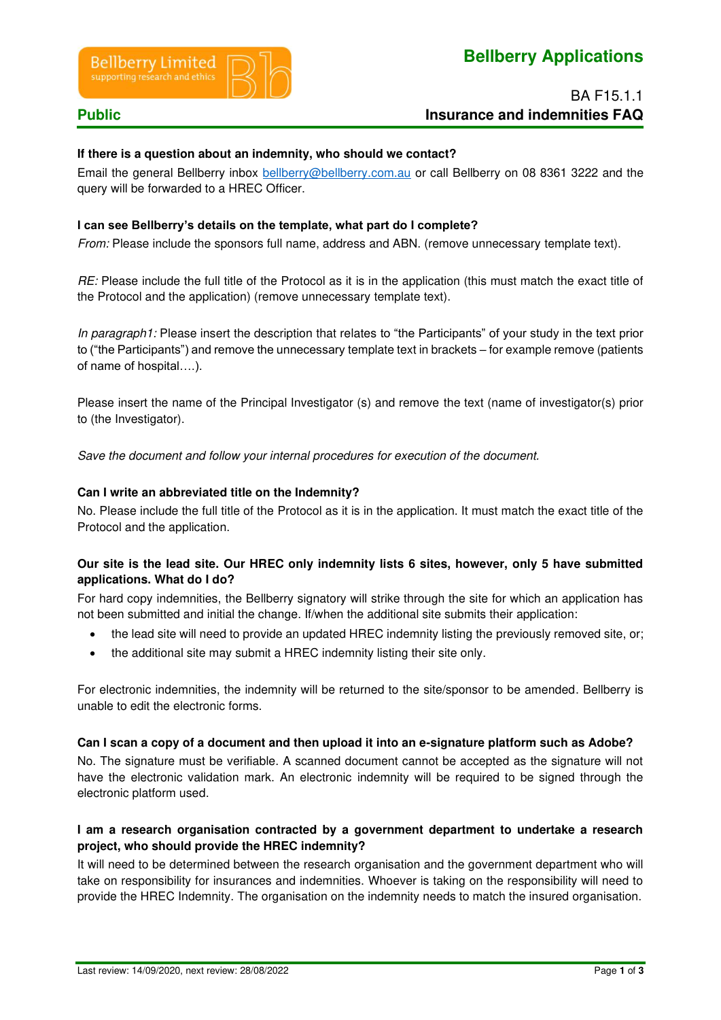



# BA F15.1.1 **Public Public 2001 Public 2001 Insurance and indemnities FAQ**

#### **If there is a question about an indemnity, who should we contact?**

Email the general Bellberry inbox [bellberry@bellberry.com.au](mailto:bellberry@bellberry.com.au) or call Bellberry on 08 8361 3222 and the query will be forwarded to a HREC Officer.

#### **I can see Bellberry's details on the template, what part do I complete?**

*From:* Please include the sponsors full name, address and ABN. (remove unnecessary template text).

*RE:* Please include the full title of the Protocol as it is in the application (this must match the exact title of the Protocol and the application) (remove unnecessary template text).

*In paragraph1:* Please insert the description that relates to "the Participants" of your study in the text prior to ("the Participants") and remove the unnecessary template text in brackets – for example remove (patients of name of hospital….).

Please insert the name of the Principal Investigator (s) and remove the text (name of investigator(s) prior to (the Investigator).

*Save the document and follow your internal procedures for execution of the document.* 

#### **Can I write an abbreviated title on the Indemnity?**

No. Please include the full title of the Protocol as it is in the application. It must match the exact title of the Protocol and the application.

### **Our site is the lead site. Our HREC only indemnity lists 6 sites, however, only 5 have submitted applications. What do I do?**

For hard copy indemnities, the Bellberry signatory will strike through the site for which an application has not been submitted and initial the change. If/when the additional site submits their application:

- the lead site will need to provide an updated HREC indemnity listing the previously removed site, or;
- the additional site may submit a HREC indemnity listing their site only.

For electronic indemnities, the indemnity will be returned to the site/sponsor to be amended. Bellberry is unable to edit the electronic forms.

#### **Can I scan a copy of a document and then upload it into an e-signature platform such as Adobe?**

No. The signature must be verifiable. A scanned document cannot be accepted as the signature will not have the electronic validation mark. An electronic indemnity will be required to be signed through the electronic platform used.

#### **I am a research organisation contracted by a government department to undertake a research project, who should provide the HREC indemnity?**

It will need to be determined between the research organisation and the government department who will take on responsibility for insurances and indemnities. Whoever is taking on the responsibility will need to provide the HREC Indemnity. The organisation on the indemnity needs to match the insured organisation.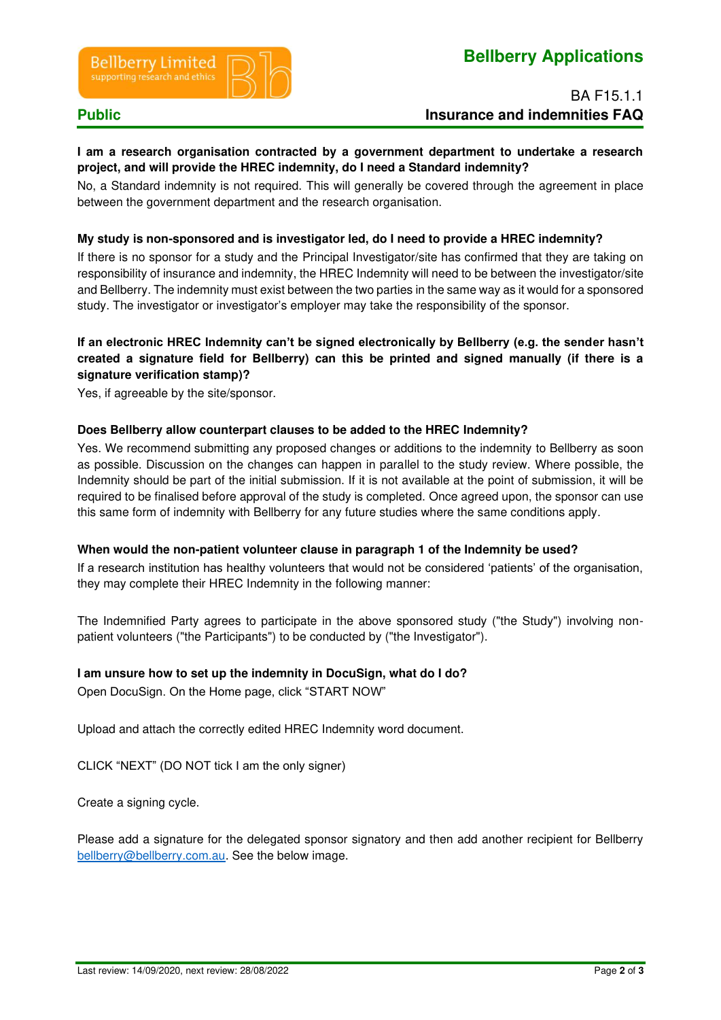

## BA F15.1.1 **Public Public 2001 Public 2001 Insurance and indemnities FAQ**

#### **I am a research organisation contracted by a government department to undertake a research project, and will provide the HREC indemnity, do I need a Standard indemnity?**

No, a Standard indemnity is not required. This will generally be covered through the agreement in place between the government department and the research organisation.

#### **My study is non-sponsored and is investigator led, do I need to provide a HREC indemnity?**

If there is no sponsor for a study and the Principal Investigator/site has confirmed that they are taking on responsibility of insurance and indemnity, the HREC Indemnity will need to be between the investigator/site and Bellberry. The indemnity must exist between the two parties in the same way as it would for a sponsored study. The investigator or investigator's employer may take the responsibility of the sponsor.

### **If an electronic HREC Indemnity can't be signed electronically by Bellberry (e.g. the sender hasn't created a signature field for Bellberry) can this be printed and signed manually (if there is a signature verification stamp)?**

Yes, if agreeable by the site/sponsor.

#### **Does Bellberry allow counterpart clauses to be added to the HREC Indemnity?**

Yes. We recommend submitting any proposed changes or additions to the indemnity to Bellberry as soon as possible. Discussion on the changes can happen in parallel to the study review. Where possible, the Indemnity should be part of the initial submission. If it is not available at the point of submission, it will be required to be finalised before approval of the study is completed. Once agreed upon, the sponsor can use this same form of indemnity with Bellberry for any future studies where the same conditions apply.

#### **When would the non-patient volunteer clause in paragraph 1 of the Indemnity be used?**

If a research institution has healthy volunteers that would not be considered 'patients' of the organisation, they may complete their HREC Indemnity in the following manner:

The Indemnified Party agrees to participate in the above sponsored study ("the Study") involving nonpatient volunteers ("the Participants") to be conducted by ("the Investigator").

# **I am unsure how to set up the indemnity in DocuSign, what do I do?**

Open DocuSign. On the Home page, click "START NOW"

Upload and attach the correctly edited HREC Indemnity word document.

CLICK "NEXT" (DO NOT tick I am the only signer)

Create a signing cycle.

Please add a signature for the delegated sponsor signatory and then add another recipient for Bellberry [bellberry@bellberry.com.au.](mailto:bellberry@bellberry.com.au) See the below image.